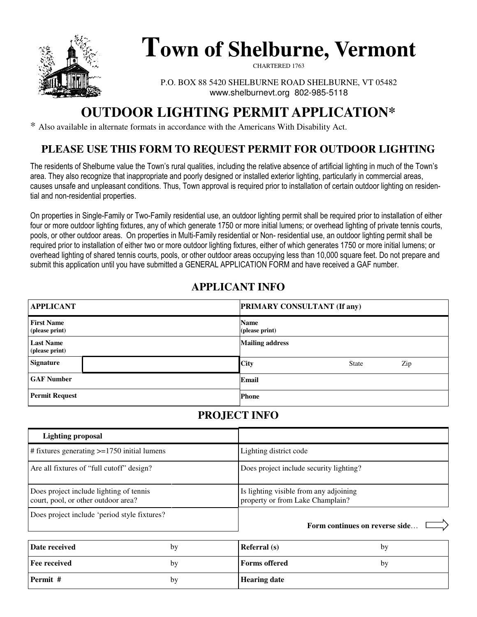

# **Town of Shelburne, Vermont**

CHARTERED 1763

P.O. BOX 88 5420 SHELBURNE ROAD SHELBURNE, VT 05482 www.shelburnevt.org 802-985-5118

# **OUTDOOR LIGHTING PERMIT APPLICATION\***

\* Also available in alternate formats in accordance with the Americans With Disability Act.

### **PLEASE USE THIS FORM TO REQUEST PERMIT FOR OUTDOOR LIGHTING**

The residents of Shelburne value the Town's rural qualities, including the relative absence of artificial lighting in much of the Town's area. They also recognize that inappropriate and poorly designed or installed exterior lighting, particularly in commercial areas, causes unsafe and unpleasant conditions. Thus, Town approval is required prior to installation of certain outdoor lighting on residential and non-residential properties.

On properties in Single-Family or Two-Family residential use, an outdoor lighting permit shall be required prior to installation of either four or more outdoor lighting fixtures, any of which generate 1750 or more initial lumens; or overhead lighting of private tennis courts, pools, or other outdoor areas. On properties in Multi-Family residential or Non- residential use, an outdoor lighting permit shall be required prior to installation of either two or more outdoor lighting fixtures, either of which generates 1750 or more initial lumens; or overhead lighting of shared tennis courts, pools, or other outdoor areas occupying less than 10,000 square feet. Do not prepare and submit this application until you have submitted a GENERAL APPLICATION FORM and have received a GAF number.

# **APPLICANT INFO**

| <b>APPLICANT</b>                    | <b>PRIMARY CONSULTANT (If any)</b> |
|-------------------------------------|------------------------------------|
| <b>First Name</b><br>(please print) | <b>Name</b><br>(please print)      |
| <b>Last Name</b><br>(please print)  | <b>Mailing address</b>             |
| <b>Signature</b>                    | <b>City</b><br>Zip<br><b>State</b> |
| <b>GAF Number</b>                   | Email                              |
| <b>Permit Request</b>               | <b>Phone</b>                       |

# **PROJECT INFO**

| <b>Lighting proposal</b>                                                       |                                                                            |
|--------------------------------------------------------------------------------|----------------------------------------------------------------------------|
| $\#$ fixtures generating $\geq$ =1750 initial lumens                           | Lighting district code                                                     |
| Are all fixtures of "full cutoff" design?                                      | Does project include security lighting?                                    |
| Does project include lighting of tennis<br>court, pool, or other outdoor area? | Is lighting visible from any adjoining<br>property or from Lake Champlain? |
| Does project include 'period style fixtures?                                   | Form continues on reverse side.                                            |

| Date received       | by | <b>Referral</b> (s)  | by |
|---------------------|----|----------------------|----|
| <b>Fee received</b> | bv | <b>Forms</b> offered | bv |
| Permit #            | by | <b>Hearing date</b>  |    |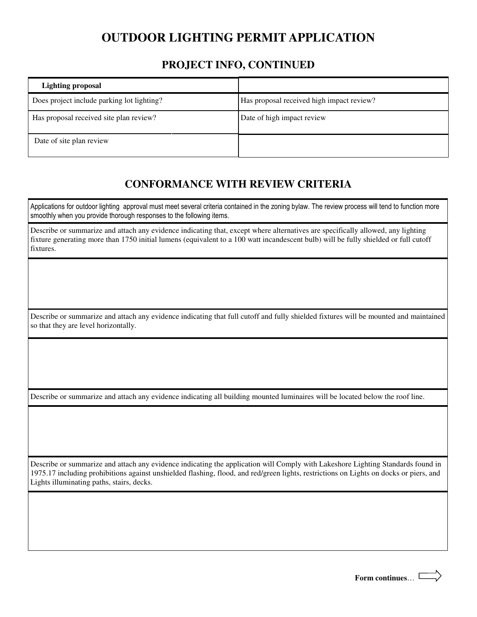# **OUTDOOR LIGHTING PERMIT APPLICATION**

#### **PROJECT INFO, CONTINUED**

| <b>Lighting proposal</b>                   |                                           |
|--------------------------------------------|-------------------------------------------|
| Does project include parking lot lighting? | Has proposal received high impact review? |
| Has proposal received site plan review?    | Date of high impact review                |
| Date of site plan review                   |                                           |

#### **CONFORMANCE WITH REVIEW CRITERIA**

Applications for outdoor lighting approval must meet several criteria contained in the zoning bylaw. The review process will tend to function more smoothly when you provide thorough responses to the following items.

Describe or summarize and attach any evidence indicating that, except where alternatives are specifically allowed, any lighting fixture generating more than 1750 initial lumens (equivalent to a 100 watt incandescent bulb) will be fully shielded or full cutoff fixtures.

Describe or summarize and attach any evidence indicating that full cutoff and fully shielded fixtures will be mounted and maintained so that they are level horizontally.

Describe or summarize and attach any evidence indicating all building mounted luminaires will be located below the roof line.

Describe or summarize and attach any evidence indicating the application will Comply with Lakeshore Lighting Standards found in 1975.17 including prohibitions against unshielded flashing, flood, and red/green lights, restrictions on Lights on docks or piers, and Lights illuminating paths, stairs, decks.

**Form continues**…